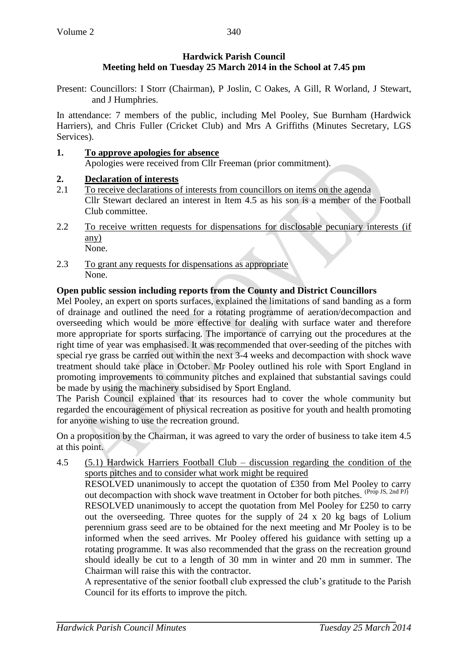# **Hardwick Parish Council Meeting held on Tuesday 25 March 2014 in the School at 7.45 pm**

340

Present: Councillors: I Storr (Chairman), P Joslin, C Oakes, A Gill, R Worland, J Stewart, and J Humphries.

In attendance: 7 members of the public, including Mel Pooley, Sue Burnham (Hardwick Harriers), and Chris Fuller (Cricket Club) and Mrs A Griffiths (Minutes Secretary, LGS Services).

- **1. To approve apologies for absence**  Apologies were received from Cllr Freeman (prior commitment).
- **2. Declaration of interests**
- 2.1 To receive declarations of interests from councillors on items on the agenda Cllr Stewart declared an interest in Item 4.5 as his son is a member of the Football Club committee.
- 2.2 To receive written requests for dispensations for disclosable pecuniary interests (if any) None.
- 2.3 To grant any requests for dispensations as appropriate None.

# **Open public session including reports from the County and District Councillors**

Mel Pooley, an expert on sports surfaces, explained the limitations of sand banding as a form of drainage and outlined the need for a rotating programme of aeration/decompaction and overseeding which would be more effective for dealing with surface water and therefore more appropriate for sports surfacing. The importance of carrying out the procedures at the right time of year was emphasised. It was recommended that over-seeding of the pitches with special rye grass be carried out within the next 3-4 weeks and decompaction with shock wave treatment should take place in October. Mr Pooley outlined his role with Sport England in promoting improvements to community pitches and explained that substantial savings could be made by using the machinery subsidised by Sport England.

The Parish Council explained that its resources had to cover the whole community but regarded the encouragement of physical recreation as positive for youth and health promoting for anyone wishing to use the recreation ground.

On a proposition by the Chairman, it was agreed to vary the order of business to take item 4.5 at this point.

4.5 (5.1) Hardwick Harriers Football Club – discussion regarding the condition of the sports pitches and to consider what work might be required RESOLVED unanimously to accept the quotation of £350 from Mel Pooley to carry out decompaction with shock wave treatment in October for both pitches. (Prop JS, 2nd PJ) RESOLVED unanimously to accept the quotation from Mel Pooley for £250 to carry out the overseeding. Three quotes for the supply of 24 x 20 kg bags of Lolium perennium grass seed are to be obtained for the next meeting and Mr Pooley is to be informed when the seed arrives. Mr Pooley offered his guidance with setting up a rotating programme. It was also recommended that the grass on the recreation ground should ideally be cut to a length of 30 mm in winter and 20 mm in summer. The Chairman will raise this with the contractor.

A representative of the senior football club expressed the club's gratitude to the Parish Council for its efforts to improve the pitch.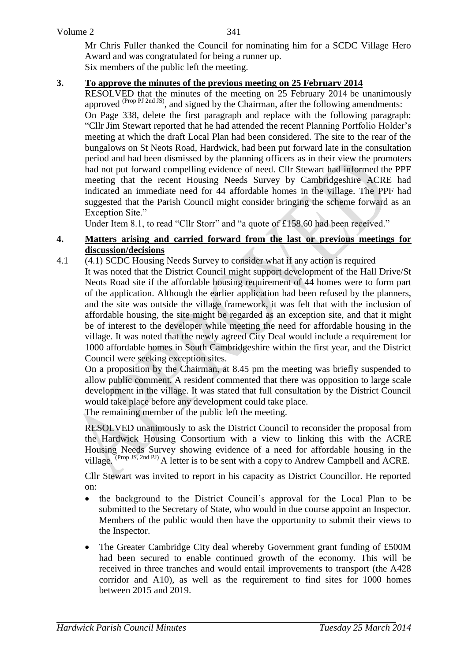Mr Chris Fuller thanked the Council for nominating him for a SCDC Village Hero Award and was congratulated for being a runner up. Six members of the public left the meeting.

### **3. To approve the minutes of the previous meeting on 25 February 2014**

RESOLVED that the minutes of the meeting on 25 February 2014 be unanimously approved  $^{(Prop\ PJ\ 2nd\ JS)}$ , and signed by the Chairman, after the following amendments: On Page 338, delete the first paragraph and replace with the following paragraph: "Cllr Jim Stewart reported that he had attended the recent Planning Portfolio Holder's meeting at which the draft Local Plan had been considered. The site to the rear of the bungalows on St Neots Road, Hardwick, had been put forward late in the consultation period and had been dismissed by the planning officers as in their view the promoters had not put forward compelling evidence of need. Cllr Stewart had informed the PPF meeting that the recent Housing Needs Survey by Cambridgeshire ACRE had indicated an immediate need for 44 affordable homes in the village. The PPF had suggested that the Parish Council might consider bringing the scheme forward as an Exception Site."

Under Item 8.1, to read "Cllr Storr" and "a quote of £158.60 had been received."

#### **4. Matters arising and carried forward from the last or previous meetings for discussion/decisions**

#### 4.1 (4.1) SCDC Housing Needs Survey to consider what if any action is required

It was noted that the District Council might support development of the Hall Drive/St Neots Road site if the affordable housing requirement of 44 homes were to form part of the application. Although the earlier application had been refused by the planners, and the site was outside the village framework, it was felt that with the inclusion of affordable housing, the site might be regarded as an exception site, and that it might be of interest to the developer while meeting the need for affordable housing in the village. It was noted that the newly agreed City Deal would include a requirement for 1000 affordable homes in South Cambridgeshire within the first year, and the District Council were seeking exception sites.

On a proposition by the Chairman, at 8.45 pm the meeting was briefly suspended to allow public comment. A resident commented that there was opposition to large scale development in the village. It was stated that full consultation by the District Council would take place before any development could take place.

The remaining member of the public left the meeting.

RESOLVED unanimously to ask the District Council to reconsider the proposal from the Hardwick Housing Consortium with a view to linking this with the ACRE Housing Needs Survey showing evidence of a need for affordable housing in the village. (Prop JS, 2nd PJ) A letter is to be sent with a copy to Andrew Campbell and ACRE.

Cllr Stewart was invited to report in his capacity as District Councillor. He reported on:

- the background to the District Council's approval for the Local Plan to be submitted to the Secretary of State, who would in due course appoint an Inspector. Members of the public would then have the opportunity to submit their views to the Inspector.
- The Greater Cambridge City deal whereby Government grant funding of £500M had been secured to enable continued growth of the economy. This will be received in three tranches and would entail improvements to transport (the A428 corridor and A10), as well as the requirement to find sites for 1000 homes between 2015 and 2019.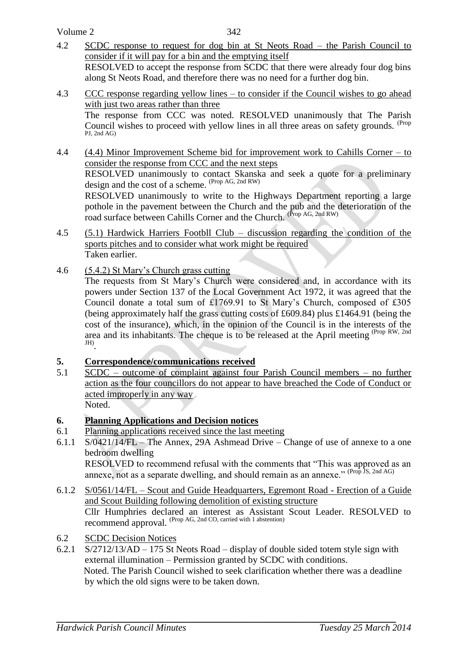Volume 2

- 4.2 SCDC response to request for dog bin at St Neots Road the Parish Council to consider if it will pay for a bin and the emptying itself RESOLVED to accept the response from SCDC that there were already four dog bins along St Neots Road, and therefore there was no need for a further dog bin.
- 4.3 CCC response regarding yellow lines to consider if the Council wishes to go ahead with just two areas rather than three The response from CCC was noted. RESOLVED unanimously that The Parish Council wishes to proceed with yellow lines in all three areas on safety grounds. <sup>(Prop</sup>) PJ, 2nd AG)
- 4.4 (4.4) Minor Improvement Scheme bid for improvement work to Cahills Corner to consider the response from CCC and the next steps RESOLVED unanimously to contact Skanska and seek a quote for a preliminary design and the cost of a scheme. (Prop AG, 2nd RW) RESOLVED unanimously to write to the Highways Department reporting a large pothole in the pavement between the Church and the pub and the deterioration of the road surface between Cahills Corner and the Church. (Prop AG, 2nd RW)
- 4.5 (5.1) Hardwick Harriers Footbll Club discussion regarding the condition of the sports pitches and to consider what work might be required Taken earlier.
- 4.6 (5.4.2) St Mary's Church grass cutting

The requests from St Mary's Church were considered and, in accordance with its powers under Section 137 of the Local Government Act 1972, it was agreed that the Council donate a total sum of £1769.91 to St Mary's Church, composed of £305 (being approximately half the grass cutting costs of £609.84) plus £1464.91 (being the cost of the insurance), which, in the opinion of the Council is in the interests of the area and its inhabitants. The cheque is to be released at the April meeting (Prop RW, 2nd JH) .

## **5. Correspondence/communications received**

5.1 SCDC – outcome of complaint against four Parish Council members – no further action as the four councillors do not appear to have breached the Code of Conduct or acted improperly in any way Noted.

## **6. Planning Applications and Decision notices**

- 6.1 Planning applications received since the last meeting
- 6.1.1 S/0421/14/FL The Annex, 29A Ashmead Drive Change of use of annexe to a one bedroom dwelling RESOLVED to recommend refusal with the comments that "This was approved as an annexe, not as a separate dwelling, and should remain as an annexe."  $(\text{Prop Is, 2nd AG})$
- 6.1.2 S/0561/14/FL Scout and Guide Headquarters, Egremont Road Erection of a Guide and Scout Building following demolition of existing structure Cllr Humphries declared an interest as Assistant Scout Leader. RESOLVED to recommend approval. (Prop AG, 2nd CO, carried with 1 abstention)
- 6.2 SCDC Decision Notices
- 6.2.1 S/2712/13/AD 175 St Neots Road display of double sided totem style sign with external illumination – Permission granted by SCDC with conditions. Noted. The Parish Council wished to seek clarification whether there was a deadline by which the old signs were to be taken down.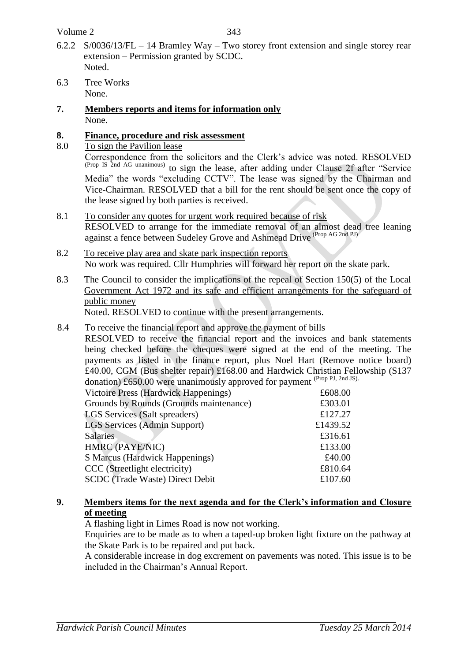- 6.2.2 S/0036/13/FL 14 Bramley Way Two storey front extension and single storey rear extension – Permission granted by SCDC. Noted.
- 6.3 Tree Works None.
- **7. Members reports and items for information only** None.

# **8. Finance, procedure and risk assessment**

8.0 To sign the Pavilion lease

Correspondence from the solicitors and the Clerk's advice was noted. RESOLVED (Prop IS 2nd AG unanimous) to sign the lease, after adding under Clause 2f after "Service Media" the words "excluding CCTV". The lease was signed by the Chairman and Vice-Chairman. RESOLVED that a bill for the rent should be sent once the copy of the lease signed by both parties is received.

- 8.1 To consider any quotes for urgent work required because of risk RESOLVED to arrange for the immediate removal of an almost dead tree leaning against a fence between Sudeley Grove and Ashmead Drive (Prop AG 2nd PJ)
- 8.2 To receive play area and skate park inspection reports No work was required. Cllr Humphries will forward her report on the skate park.
- 8.3 The Council to consider the implications of the repeal of Section 150(5) of the Local Government Act 1972 and its safe and efficient arrangements for the safeguard of public money

Noted. RESOLVED to continue with the present arrangements.

8.4 To receive the financial report and approve the payment of bills

RESOLVED to receive the financial report and the invoices and bank statements being checked before the cheques were signed at the end of the meeting. The payments as listed in the finance report, plus Noel Hart (Remove notice board) £40.00, CGM (Bus shelter repair) £168.00 and Hardwick Christian Fellowship (S137 donation) £650.00 were unanimously approved for payment (Prop PJ, 2nd JS).

| Victoire Press (Hardwick Happenings)    | £608.00  |
|-----------------------------------------|----------|
| Grounds by Rounds (Grounds maintenance) | £303.01  |
| <b>LGS</b> Services (Salt spreaders)    | £127.27  |
| LGS Services (Admin Support)            | £1439.52 |
| <b>Salaries</b>                         | £316.61  |
| HMRC (PAYE/NIC)                         | £133.00  |
| <b>S Marcus (Hardwick Happenings)</b>   | £40.00   |
| CCC (Streetlight electricity)           | £810.64  |
| <b>SCDC</b> (Trade Waste) Direct Debit  | £107.60  |
|                                         |          |

## **9. Members items for the next agenda and for the Clerk's information and Closure of meeting**

A flashing light in Limes Road is now not working.

Enquiries are to be made as to when a taped-up broken light fixture on the pathway at the Skate Park is to be repaired and put back.

A considerable increase in dog excrement on pavements was noted. This issue is to be included in the Chairman's Annual Report.